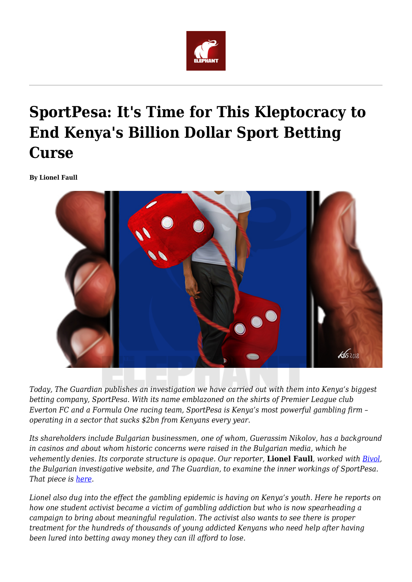

# **SportPesa: It's Time for This Kleptocracy to End Kenya's Billion Dollar Sport Betting Curse**

**By Lionel Faull**



*Today, The Guardian publishes an investigation we have carried out with them into Kenya's biggest betting company, SportPesa. With its name emblazoned on the shirts of Premier League club Everton FC and a Formula One racing team, SportPesa is Kenya's most powerful gambling firm – operating in a sector that sucks \$2bn from Kenyans every year.*

*Its shareholders include Bulgarian businessmen, one of whom, Guerassim Nikolov, has a background in casinos and about whom historic concerns were raised in the Bulgarian media, which he vehemently denies. Its corporate structure is opaque. Our reporter,* **Lionel Faull***, worked with [Bivol](https://bivol.bg/en/), the Bulgarian investigative website, and The Guardian, to examine the inner workings of SportPesa. That piece is [here.](https://www.theguardian.com/football/2019/jul/18/sportpesa-gambling-company-premier-league-kenya)*

*Lionel also dug into the effect the gambling epidemic is having on Kenya's youth. Here he reports on how one student activist became a victim of gambling addiction but who is now spearheading a campaign to bring about meaningful regulation. The activist also wants to see there is proper treatment for the hundreds of thousands of young addicted Kenyans who need help after having been lured into betting away money they can ill afford to lose.*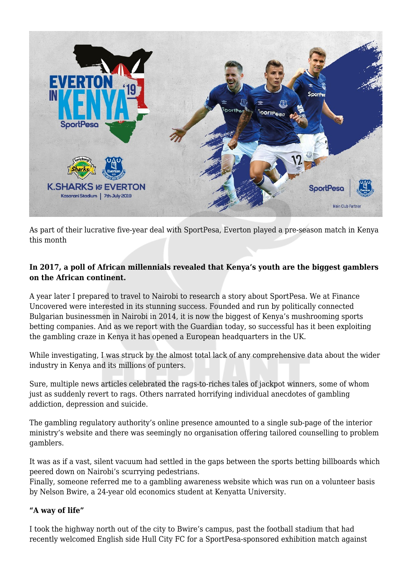

As part of their lucrative five-year deal with SportPesa, Everton played a pre-season match in Kenya this month

# **In 2017, a poll of African millennials revealed that Kenya's youth are the biggest gamblers on the African continent.**

A year later I prepared to travel to Nairobi to research a story about SportPesa. We at Finance Uncovered were interested in its stunning success. Founded and run by politically connected Bulgarian businessmen in Nairobi in 2014, it is now the biggest of Kenya's mushrooming sports betting companies. And as we report with the Guardian today, so successful has it been exploiting the gambling craze in Kenya it has opened a European headquarters in the UK.

While investigating, I was struck by the almost total lack of any comprehensive data about the wider industry in Kenya and its millions of punters.

Sure, multiple news articles celebrated the rags-to-riches tales of jackpot winners, some of whom just as suddenly revert to rags. Others narrated horrifying individual anecdotes of gambling addiction, depression and suicide.

The gambling regulatory authority's online presence amounted to a single sub-page of the interior ministry's website and there was seemingly no organisation offering tailored counselling to problem gamblers.

It was as if a vast, silent vacuum had settled in the gaps between the sports betting billboards which peered down on Nairobi's scurrying pedestrians.

Finally, someone referred me to a gambling awareness website which was run on a volunteer basis by Nelson Bwire, a 24-year old economics student at Kenyatta University.

## **"A way of life"**

I took the highway north out of the city to Bwire's campus, past the football stadium that had recently welcomed English side Hull City FC for a SportPesa-sponsored exhibition match against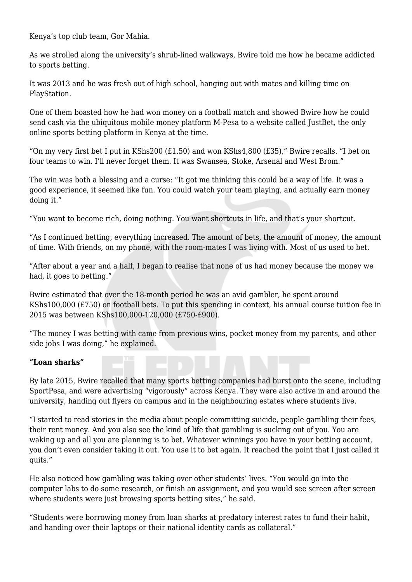Kenya's top club team, Gor Mahia.

As we strolled along the university's shrub-lined walkways, Bwire told me how he became addicted to sports betting.

It was 2013 and he was fresh out of high school, hanging out with mates and killing time on PlayStation.

One of them boasted how he had won money on a football match and showed Bwire how he could send cash via the ubiquitous mobile money platform M-Pesa to a website called JustBet, the only online sports betting platform in Kenya at the time.

"On my very first bet I put in KShs200 (£1.50) and won KShs4,800 (£35)," Bwire recalls. "I bet on four teams to win. I'll never forget them. It was Swansea, Stoke, Arsenal and West Brom."

The win was both a blessing and a curse: "It got me thinking this could be a way of life. It was a good experience, it seemed like fun. You could watch your team playing, and actually earn money doing it."

"You want to become rich, doing nothing. You want shortcuts in life, and that's your shortcut.

"As I continued betting, everything increased. The amount of bets, the amount of money, the amount of time. With friends, on my phone, with the room-mates I was living with. Most of us used to bet.

"After about a year and a half, I began to realise that none of us had money because the money we had, it goes to betting."

Bwire estimated that over the 18-month period he was an avid gambler, he spent around KShs100,000 (£750) on football bets. To put this spending in context, his annual course tuition fee in 2015 was between KShs100,000-120,000 (£750-£900).

"The money I was betting with came from previous wins, pocket money from my parents, and other side jobs I was doing," he explained.

#### **"Loan sharks"**

By late 2015, Bwire recalled that many sports betting companies had burst onto the scene, including SportPesa, and were advertising "vigorously" across Kenya. They were also active in and around the university, handing out flyers on campus and in the neighbouring estates where students live.

"I started to read stories in the media about people committing suicide, people gambling their fees, their rent money. And you also see the kind of life that gambling is sucking out of you. You are waking up and all you are planning is to bet. Whatever winnings you have in your betting account, you don't even consider taking it out. You use it to bet again. It reached the point that I just called it quits."

He also noticed how gambling was taking over other students' lives. "You would go into the computer labs to do some research, or finish an assignment, and you would see screen after screen where students were just browsing sports betting sites," he said.

"Students were borrowing money from loan sharks at predatory interest rates to fund their habit, and handing over their laptops or their national identity cards as collateral."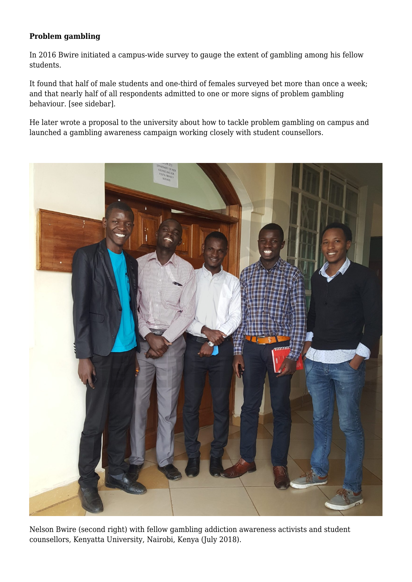## **Problem gambling**

In 2016 Bwire initiated a campus-wide survey to gauge the extent of gambling among his fellow students.

It found that half of male students and one-third of females surveyed bet more than once a week; and that nearly half of all respondents admitted to one or more signs of problem gambling behaviour. [see sidebar].

He later wrote a proposal to the university about how to tackle problem gambling on campus and launched a gambling awareness campaign working closely with student counsellors.



Nelson Bwire (second right) with fellow gambling addiction awareness activists and student counsellors, Kenyatta University, Nairobi, Kenya (July 2018).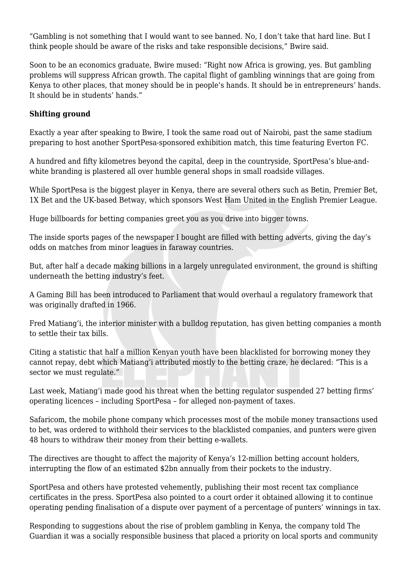"Gambling is not something that I would want to see banned. No, I don't take that hard line. But I think people should be aware of the risks and take responsible decisions," Bwire said.

Soon to be an economics graduate, Bwire mused: "Right now Africa is growing, yes. But gambling problems will suppress African growth. The capital flight of gambling winnings that are going from Kenya to other places, that money should be in people's hands. It should be in entrepreneurs' hands. It should be in students' hands."

### **Shifting ground**

Exactly a year after speaking to Bwire, I took the same road out of Nairobi, past the same stadium preparing to host another SportPesa-sponsored exhibition match, this time featuring Everton FC.

A hundred and fifty kilometres beyond the capital, deep in the countryside, SportPesa's blue-andwhite branding is plastered all over humble general shops in small roadside villages.

While SportPesa is the biggest player in Kenya, there are several others such as Betin, Premier Bet, 1X Bet and the UK-based Betway, which sponsors West Ham United in the English Premier League.

Huge billboards for betting companies greet you as you drive into bigger towns.

The inside sports pages of the newspaper I bought are filled with betting adverts, giving the day's odds on matches from minor leagues in faraway countries.

But, after half a decade making billions in a largely unregulated environment, the ground is shifting underneath the betting industry's feet.

A Gaming Bill has been introduced to Parliament that would overhaul a regulatory framework that was originally drafted in 1966.

Fred Matiang'i, the interior minister with a bulldog reputation, has given betting companies a month to settle their tax bills.

Citing a statistic that half a million Kenyan youth have been blacklisted for borrowing money they cannot repay, debt which Matiang'i attributed mostly to the betting craze, he declared: "This is a sector we must regulate."

Last week, Matiang'i made good his threat when the betting regulator suspended 27 betting firms' operating licences – including SportPesa – for alleged non-payment of taxes.

Safaricom, the mobile phone company which processes most of the mobile money transactions used to bet, was ordered to withhold their services to the blacklisted companies, and punters were given 48 hours to withdraw their money from their betting e-wallets.

The directives are thought to affect the majority of Kenya's 12-million betting account holders, interrupting the flow of an estimated \$2bn annually from their pockets to the industry.

SportPesa and others have protested vehemently, publishing their most recent tax compliance certificates in the press. SportPesa also pointed to a court order it obtained allowing it to continue operating pending finalisation of a dispute over payment of a percentage of punters' winnings in tax.

Responding to suggestions about the rise of problem gambling in Kenya, the company told The Guardian it was a socially responsible business that placed a priority on local sports and community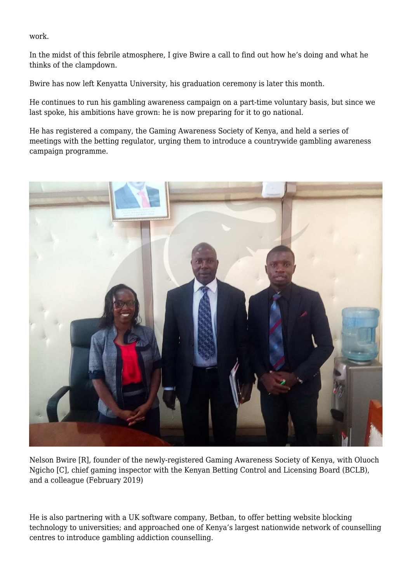work.

In the midst of this febrile atmosphere, I give Bwire a call to find out how he's doing and what he thinks of the clampdown.

Bwire has now left Kenyatta University, his graduation ceremony is later this month.

He continues to run his gambling awareness campaign on a part-time voluntary basis, but since we last spoke, his ambitions have grown: he is now preparing for it to go national.

He has registered a company, the Gaming Awareness Society of Kenya, and held a series of meetings with the betting regulator, urging them to introduce a countrywide gambling awareness campaign programme.



Nelson Bwire [R], founder of the newly-registered Gaming Awareness Society of Kenya, with Oluoch Ngicho [C], chief gaming inspector with the Kenyan Betting Control and Licensing Board (BCLB), and a colleague (February 2019)

He is also partnering with a UK software company, Betban, to offer betting website blocking technology to universities; and approached one of Kenya's largest nationwide network of counselling centres to introduce gambling addiction counselling.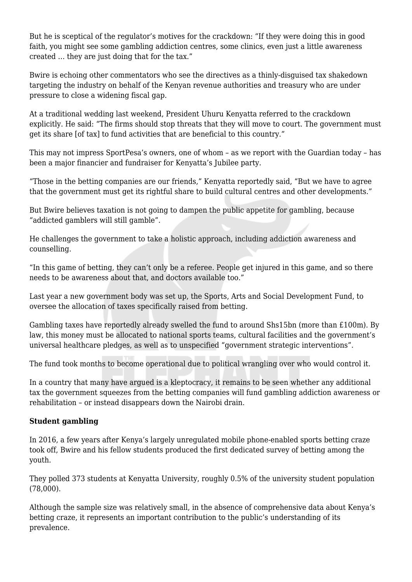But he is sceptical of the regulator's motives for the crackdown: "If they were doing this in good faith, you might see some gambling addiction centres, some clinics, even just a little awareness created … they are just doing that for the tax."

Bwire is echoing other commentators who see the directives as a thinly-disguised tax shakedown targeting the industry on behalf of the Kenyan revenue authorities and treasury who are under pressure to close a widening fiscal gap.

At a traditional wedding last weekend, President Uhuru Kenyatta referred to the crackdown explicitly. He said: "The firms should stop threats that they will move to court. The government must get its share [of tax] to fund activities that are beneficial to this country."

This may not impress SportPesa's owners, one of whom – as we report with the Guardian today – has been a major financier and fundraiser for Kenyatta's Jubilee party.

"Those in the betting companies are our friends," Kenyatta reportedly said, "But we have to agree that the government must get its rightful share to build cultural centres and other developments."

But Bwire believes taxation is not going to dampen the public appetite for gambling, because "addicted gamblers will still gamble".

He challenges the government to take a holistic approach, including addiction awareness and counselling.

"In this game of betting, they can't only be a referee. People get injured in this game, and so there needs to be awareness about that, and doctors available too."

Last year a new government body was set up, the Sports, Arts and Social Development Fund, to oversee the allocation of taxes specifically raised from betting.

Gambling taxes have reportedly already swelled the fund to around Shs15bn (more than £100m). By law, this money must be allocated to national sports teams, cultural facilities and the government's universal healthcare pledges, as well as to unspecified "government strategic interventions".

The fund took months to become operational due to political wrangling over who would control it.

In a country that many have argued is a kleptocracy, it remains to be seen whether any additional tax the government squeezes from the betting companies will fund gambling addiction awareness or rehabilitation – or instead disappears down the Nairobi drain.

#### **Student gambling**

In 2016, a few years after Kenya's largely unregulated mobile phone-enabled sports betting craze took off, Bwire and his fellow students produced the first dedicated survey of betting among the youth.

They polled 373 students at Kenyatta University, roughly 0.5% of the university student population (78,000).

Although the sample size was relatively small, in the absence of comprehensive data about Kenya's betting craze, it represents an important contribution to the public's understanding of its prevalence.